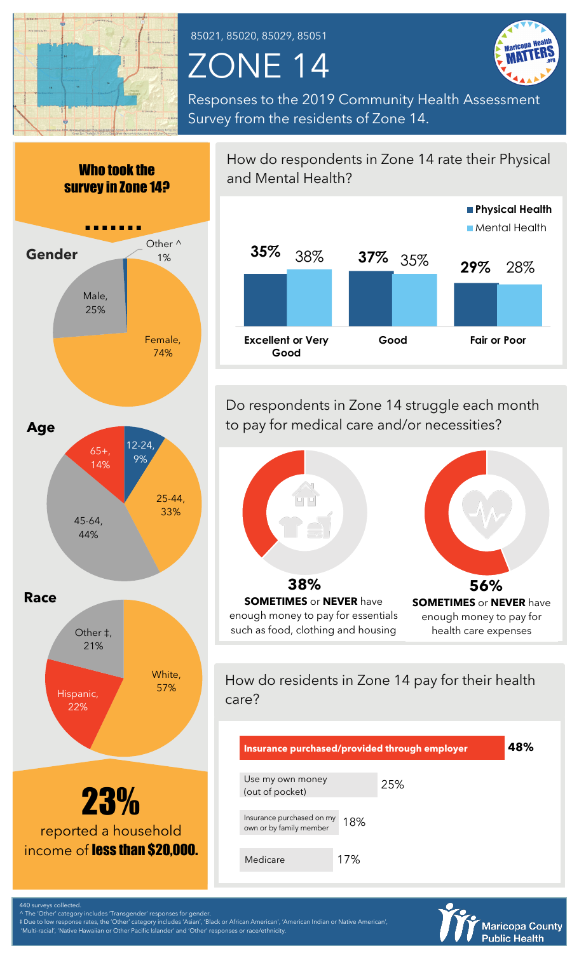

85021, 85020, 85029, 85051

## ZONE 14



Responses to the 2019 Community Health Assessment Survey from the residents of Zone 14.



How do respondents in Zone 14 rate their Physical and Mental Health? **35% 37% 29%** 38% 35% 28% **Excellent or Very Good Good Fair or Poor Physical Health** Mental Health

Do respondents in Zone 14 struggle each month to pay for medical care and/or necessities?



How do residents in Zone 14 pay for their health care?

| Insurance purchased/provided through employer        |     |     | 48% |
|------------------------------------------------------|-----|-----|-----|
| Use my own money<br>(out of pocket)                  |     | 25% |     |
| Insurance purchased on my<br>own or by family member | 18% |     |     |
| Medicare                                             | 17% |     |     |



440 surveys collected.  $\backslash$  The 'Other' category includes 'Transgender' responses for gende

‡ Due to low response rates, the 'Other' category includes 'Asian', 'Black or African American', 'American Indian or Native American',

'Multi-racial', 'Native Hawaiian or Other Pacific Islander' and 'Other' responses or race/ethnicity.